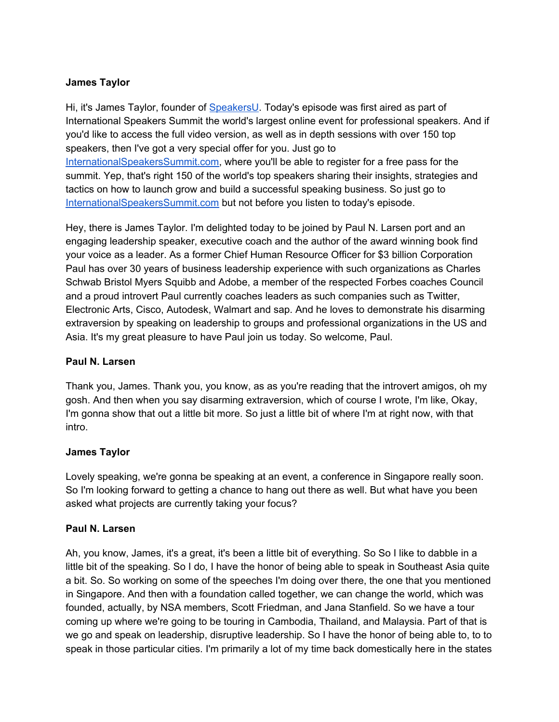## **James Taylor**

Hi, it's James Taylor, founder of [SpeakersU.](https://speakersu.com/) Today's episode was first aired as part of International Speakers Summit the world's largest online event for professional speakers. And if you'd like to access the full video version, as well as in depth sessions with over 150 top speakers, then I've got a very special offer for you. Just go to [InternationalSpeakersSummit.com](http://internationalspeakerssummit.com/), where you'll be able to register for a free pass for the summit. Yep, that's right 150 of the world's top speakers sharing their insights, strategies and tactics on how to launch grow and build a successful speaking business. So just go t[o](http://internationalspeakerssummit.com/) [InternationalSpeakersSummit.com](http://internationalspeakerssummit.com/) but not before you listen to today's episode.

Hey, there is James Taylor. I'm delighted today to be joined by Paul N. Larsen port and an engaging leadership speaker, executive coach and the author of the award winning book find your voice as a leader. As a former Chief Human Resource Officer for \$3 billion Corporation Paul has over 30 years of business leadership experience with such organizations as Charles Schwab Bristol Myers Squibb and Adobe, a member of the respected Forbes coaches Council and a proud introvert Paul currently coaches leaders as such companies such as Twitter, Electronic Arts, Cisco, Autodesk, Walmart and sap. And he loves to demonstrate his disarming extraversion by speaking on leadership to groups and professional organizations in the US and Asia. It's my great pleasure to have Paul join us today. So welcome, Paul.

### **Paul N. Larsen**

Thank you, James. Thank you, you know, as as you're reading that the introvert amigos, oh my gosh. And then when you say disarming extraversion, which of course I wrote, I'm like, Okay, I'm gonna show that out a little bit more. So just a little bit of where I'm at right now, with that intro.

### **James Taylor**

Lovely speaking, we're gonna be speaking at an event, a conference in Singapore really soon. So I'm looking forward to getting a chance to hang out there as well. But what have you been asked what projects are currently taking your focus?

### **Paul N. Larsen**

Ah, you know, James, it's a great, it's been a little bit of everything. So So I like to dabble in a little bit of the speaking. So I do, I have the honor of being able to speak in Southeast Asia quite a bit. So. So working on some of the speeches I'm doing over there, the one that you mentioned in Singapore. And then with a foundation called together, we can change the world, which was founded, actually, by NSA members, Scott Friedman, and Jana Stanfield. So we have a tour coming up where we're going to be touring in Cambodia, Thailand, and Malaysia. Part of that is we go and speak on leadership, disruptive leadership. So I have the honor of being able to, to to speak in those particular cities. I'm primarily a lot of my time back domestically here in the states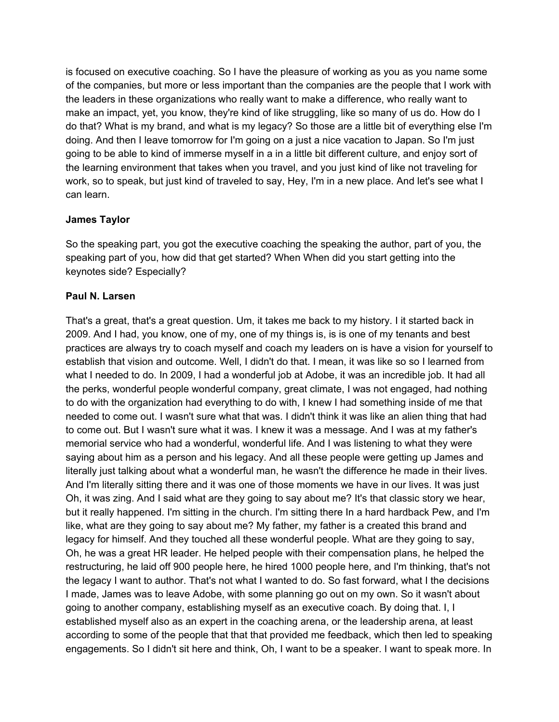is focused on executive coaching. So I have the pleasure of working as you as you name some of the companies, but more or less important than the companies are the people that I work with the leaders in these organizations who really want to make a difference, who really want to make an impact, yet, you know, they're kind of like struggling, like so many of us do. How do I do that? What is my brand, and what is my legacy? So those are a little bit of everything else I'm doing. And then I leave tomorrow for I'm going on a just a nice vacation to Japan. So I'm just going to be able to kind of immerse myself in a in a little bit different culture, and enjoy sort of the learning environment that takes when you travel, and you just kind of like not traveling for work, so to speak, but just kind of traveled to say, Hey, I'm in a new place. And let's see what I can learn.

### **James Taylor**

So the speaking part, you got the executive coaching the speaking the author, part of you, the speaking part of you, how did that get started? When When did you start getting into the keynotes side? Especially?

### **Paul N. Larsen**

That's a great, that's a great question. Um, it takes me back to my history. I it started back in 2009. And I had, you know, one of my, one of my things is, is is one of my tenants and best practices are always try to coach myself and coach my leaders on is have a vision for yourself to establish that vision and outcome. Well, I didn't do that. I mean, it was like so so I learned from what I needed to do. In 2009, I had a wonderful job at Adobe, it was an incredible job. It had all the perks, wonderful people wonderful company, great climate, I was not engaged, had nothing to do with the organization had everything to do with, I knew I had something inside of me that needed to come out. I wasn't sure what that was. I didn't think it was like an alien thing that had to come out. But I wasn't sure what it was. I knew it was a message. And I was at my father's memorial service who had a wonderful, wonderful life. And I was listening to what they were saying about him as a person and his legacy. And all these people were getting up James and literally just talking about what a wonderful man, he wasn't the difference he made in their lives. And I'm literally sitting there and it was one of those moments we have in our lives. It was just Oh, it was zing. And I said what are they going to say about me? It's that classic story we hear, but it really happened. I'm sitting in the church. I'm sitting there In a hard hardback Pew, and I'm like, what are they going to say about me? My father, my father is a created this brand and legacy for himself. And they touched all these wonderful people. What are they going to say, Oh, he was a great HR leader. He helped people with their compensation plans, he helped the restructuring, he laid off 900 people here, he hired 1000 people here, and I'm thinking, that's not the legacy I want to author. That's not what I wanted to do. So fast forward, what I the decisions I made, James was to leave Adobe, with some planning go out on my own. So it wasn't about going to another company, establishing myself as an executive coach. By doing that. I, I established myself also as an expert in the coaching arena, or the leadership arena, at least according to some of the people that that that provided me feedback, which then led to speaking engagements. So I didn't sit here and think, Oh, I want to be a speaker. I want to speak more. In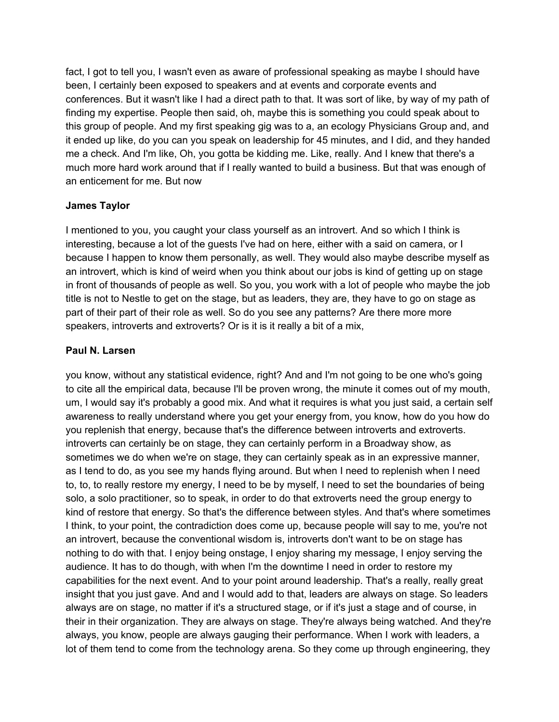fact, I got to tell you, I wasn't even as aware of professional speaking as maybe I should have been, I certainly been exposed to speakers and at events and corporate events and conferences. But it wasn't like I had a direct path to that. It was sort of like, by way of my path of finding my expertise. People then said, oh, maybe this is something you could speak about to this group of people. And my first speaking gig was to a, an ecology Physicians Group and, and it ended up like, do you can you speak on leadership for 45 minutes, and I did, and they handed me a check. And I'm like, Oh, you gotta be kidding me. Like, really. And I knew that there's a much more hard work around that if I really wanted to build a business. But that was enough of an enticement for me. But now

## **James Taylor**

I mentioned to you, you caught your class yourself as an introvert. And so which I think is interesting, because a lot of the guests I've had on here, either with a said on camera, or I because I happen to know them personally, as well. They would also maybe describe myself as an introvert, which is kind of weird when you think about our jobs is kind of getting up on stage in front of thousands of people as well. So you, you work with a lot of people who maybe the job title is not to Nestle to get on the stage, but as leaders, they are, they have to go on stage as part of their part of their role as well. So do you see any patterns? Are there more more speakers, introverts and extroverts? Or is it is it really a bit of a mix,

### **Paul N. Larsen**

you know, without any statistical evidence, right? And and I'm not going to be one who's going to cite all the empirical data, because I'll be proven wrong, the minute it comes out of my mouth, um, I would say it's probably a good mix. And what it requires is what you just said, a certain self awareness to really understand where you get your energy from, you know, how do you how do you replenish that energy, because that's the difference between introverts and extroverts. introverts can certainly be on stage, they can certainly perform in a Broadway show, as sometimes we do when we're on stage, they can certainly speak as in an expressive manner, as I tend to do, as you see my hands flying around. But when I need to replenish when I need to, to, to really restore my energy, I need to be by myself, I need to set the boundaries of being solo, a solo practitioner, so to speak, in order to do that extroverts need the group energy to kind of restore that energy. So that's the difference between styles. And that's where sometimes I think, to your point, the contradiction does come up, because people will say to me, you're not an introvert, because the conventional wisdom is, introverts don't want to be on stage has nothing to do with that. I enjoy being onstage, I enjoy sharing my message, I enjoy serving the audience. It has to do though, with when I'm the downtime I need in order to restore my capabilities for the next event. And to your point around leadership. That's a really, really great insight that you just gave. And and I would add to that, leaders are always on stage. So leaders always are on stage, no matter if it's a structured stage, or if it's just a stage and of course, in their in their organization. They are always on stage. They're always being watched. And they're always, you know, people are always gauging their performance. When I work with leaders, a lot of them tend to come from the technology arena. So they come up through engineering, they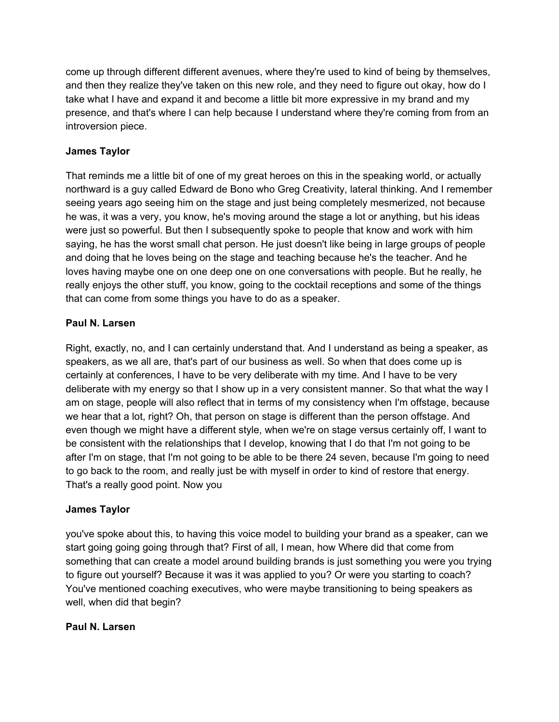come up through different different avenues, where they're used to kind of being by themselves, and then they realize they've taken on this new role, and they need to figure out okay, how do I take what I have and expand it and become a little bit more expressive in my brand and my presence, and that's where I can help because I understand where they're coming from from an introversion piece.

## **James Taylor**

That reminds me a little bit of one of my great heroes on this in the speaking world, or actually northward is a guy called Edward de Bono who Greg Creativity, lateral thinking. And I remember seeing years ago seeing him on the stage and just being completely mesmerized, not because he was, it was a very, you know, he's moving around the stage a lot or anything, but his ideas were just so powerful. But then I subsequently spoke to people that know and work with him saying, he has the worst small chat person. He just doesn't like being in large groups of people and doing that he loves being on the stage and teaching because he's the teacher. And he loves having maybe one on one deep one on one conversations with people. But he really, he really enjoys the other stuff, you know, going to the cocktail receptions and some of the things that can come from some things you have to do as a speaker.

### **Paul N. Larsen**

Right, exactly, no, and I can certainly understand that. And I understand as being a speaker, as speakers, as we all are, that's part of our business as well. So when that does come up is certainly at conferences, I have to be very deliberate with my time. And I have to be very deliberate with my energy so that I show up in a very consistent manner. So that what the way I am on stage, people will also reflect that in terms of my consistency when I'm offstage, because we hear that a lot, right? Oh, that person on stage is different than the person offstage. And even though we might have a different style, when we're on stage versus certainly off, I want to be consistent with the relationships that I develop, knowing that I do that I'm not going to be after I'm on stage, that I'm not going to be able to be there 24 seven, because I'm going to need to go back to the room, and really just be with myself in order to kind of restore that energy. That's a really good point. Now you

### **James Taylor**

you've spoke about this, to having this voice model to building your brand as a speaker, can we start going going going through that? First of all, I mean, how Where did that come from something that can create a model around building brands is just something you were you trying to figure out yourself? Because it was it was applied to you? Or were you starting to coach? You've mentioned coaching executives, who were maybe transitioning to being speakers as well, when did that begin?

### **Paul N. Larsen**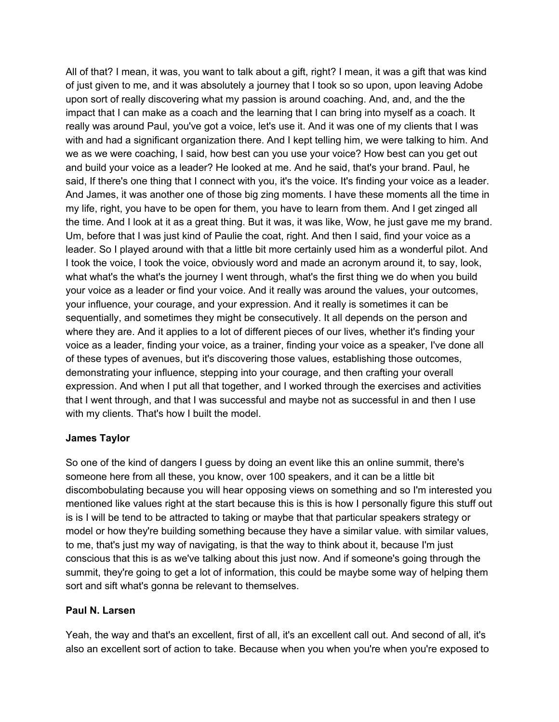All of that? I mean, it was, you want to talk about a gift, right? I mean, it was a gift that was kind of just given to me, and it was absolutely a journey that I took so so upon, upon leaving Adobe upon sort of really discovering what my passion is around coaching. And, and, and the the impact that I can make as a coach and the learning that I can bring into myself as a coach. It really was around Paul, you've got a voice, let's use it. And it was one of my clients that I was with and had a significant organization there. And I kept telling him, we were talking to him. And we as we were coaching, I said, how best can you use your voice? How best can you get out and build your voice as a leader? He looked at me. And he said, that's your brand. Paul, he said, If there's one thing that I connect with you, it's the voice. It's finding your voice as a leader. And James, it was another one of those big zing moments. I have these moments all the time in my life, right, you have to be open for them, you have to learn from them. And I get zinged all the time. And I look at it as a great thing. But it was, it was like, Wow, he just gave me my brand. Um, before that I was just kind of Paulie the coat, right. And then I said, find your voice as a leader. So I played around with that a little bit more certainly used him as a wonderful pilot. And I took the voice, I took the voice, obviously word and made an acronym around it, to say, look, what what's the what's the journey I went through, what's the first thing we do when you build your voice as a leader or find your voice. And it really was around the values, your outcomes, your influence, your courage, and your expression. And it really is sometimes it can be sequentially, and sometimes they might be consecutively. It all depends on the person and where they are. And it applies to a lot of different pieces of our lives, whether it's finding your voice as a leader, finding your voice, as a trainer, finding your voice as a speaker, I've done all of these types of avenues, but it's discovering those values, establishing those outcomes, demonstrating your influence, stepping into your courage, and then crafting your overall expression. And when I put all that together, and I worked through the exercises and activities that I went through, and that I was successful and maybe not as successful in and then I use with my clients. That's how I built the model.

### **James Taylor**

So one of the kind of dangers I guess by doing an event like this an online summit, there's someone here from all these, you know, over 100 speakers, and it can be a little bit discombobulating because you will hear opposing views on something and so I'm interested you mentioned like values right at the start because this is this is how I personally figure this stuff out is is I will be tend to be attracted to taking or maybe that that particular speakers strategy or model or how they're building something because they have a similar value. with similar values, to me, that's just my way of navigating, is that the way to think about it, because I'm just conscious that this is as we've talking about this just now. And if someone's going through the summit, they're going to get a lot of information, this could be maybe some way of helping them sort and sift what's gonna be relevant to themselves.

### **Paul N. Larsen**

Yeah, the way and that's an excellent, first of all, it's an excellent call out. And second of all, it's also an excellent sort of action to take. Because when you when you're when you're exposed to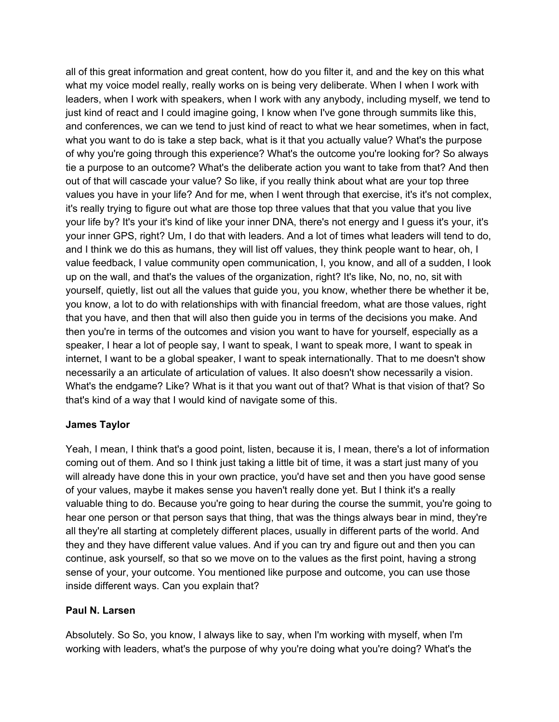all of this great information and great content, how do you filter it, and and the key on this what what my voice model really, really works on is being very deliberate. When I when I work with leaders, when I work with speakers, when I work with any anybody, including myself, we tend to just kind of react and I could imagine going, I know when I've gone through summits like this, and conferences, we can we tend to just kind of react to what we hear sometimes, when in fact, what you want to do is take a step back, what is it that you actually value? What's the purpose of why you're going through this experience? What's the outcome you're looking for? So always tie a purpose to an outcome? What's the deliberate action you want to take from that? And then out of that will cascade your value? So like, if you really think about what are your top three values you have in your life? And for me, when I went through that exercise, it's it's not complex, it's really trying to figure out what are those top three values that that you value that you live your life by? It's your it's kind of like your inner DNA, there's not energy and I guess it's your, it's your inner GPS, right? Um, I do that with leaders. And a lot of times what leaders will tend to do, and I think we do this as humans, they will list off values, they think people want to hear, oh, I value feedback, I value community open communication, I, you know, and all of a sudden, I look up on the wall, and that's the values of the organization, right? It's like, No, no, no, sit with yourself, quietly, list out all the values that guide you, you know, whether there be whether it be, you know, a lot to do with relationships with with financial freedom, what are those values, right that you have, and then that will also then guide you in terms of the decisions you make. And then you're in terms of the outcomes and vision you want to have for yourself, especially as a speaker, I hear a lot of people say, I want to speak, I want to speak more, I want to speak in internet, I want to be a global speaker, I want to speak internationally. That to me doesn't show necessarily a an articulate of articulation of values. It also doesn't show necessarily a vision. What's the endgame? Like? What is it that you want out of that? What is that vision of that? So that's kind of a way that I would kind of navigate some of this.

### **James Taylor**

Yeah, I mean, I think that's a good point, listen, because it is, I mean, there's a lot of information coming out of them. And so I think just taking a little bit of time, it was a start just many of you will already have done this in your own practice, you'd have set and then you have good sense of your values, maybe it makes sense you haven't really done yet. But I think it's a really valuable thing to do. Because you're going to hear during the course the summit, you're going to hear one person or that person says that thing, that was the things always bear in mind, they're all they're all starting at completely different places, usually in different parts of the world. And they and they have different value values. And if you can try and figure out and then you can continue, ask yourself, so that so we move on to the values as the first point, having a strong sense of your, your outcome. You mentioned like purpose and outcome, you can use those inside different ways. Can you explain that?

### **Paul N. Larsen**

Absolutely. So So, you know, I always like to say, when I'm working with myself, when I'm working with leaders, what's the purpose of why you're doing what you're doing? What's the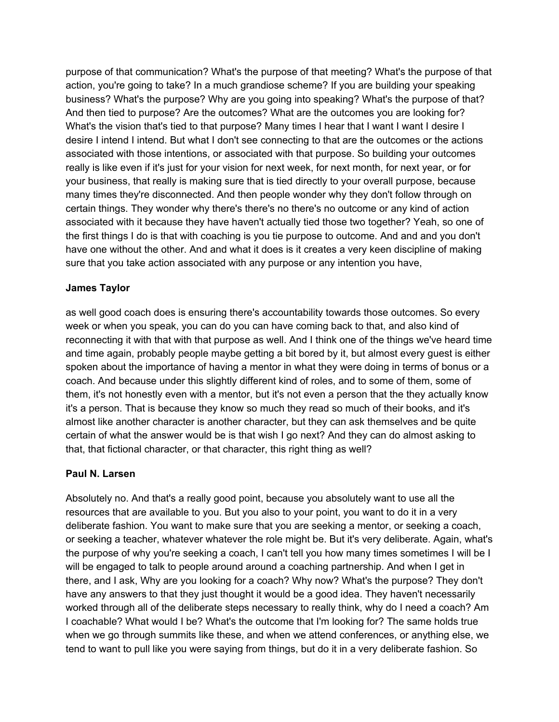purpose of that communication? What's the purpose of that meeting? What's the purpose of that action, you're going to take? In a much grandiose scheme? If you are building your speaking business? What's the purpose? Why are you going into speaking? What's the purpose of that? And then tied to purpose? Are the outcomes? What are the outcomes you are looking for? What's the vision that's tied to that purpose? Many times I hear that I want I want I desire I desire I intend I intend. But what I don't see connecting to that are the outcomes or the actions associated with those intentions, or associated with that purpose. So building your outcomes really is like even if it's just for your vision for next week, for next month, for next year, or for your business, that really is making sure that is tied directly to your overall purpose, because many times they're disconnected. And then people wonder why they don't follow through on certain things. They wonder why there's there's no there's no outcome or any kind of action associated with it because they have haven't actually tied those two together? Yeah, so one of the first things I do is that with coaching is you tie purpose to outcome. And and and you don't have one without the other. And and what it does is it creates a very keen discipline of making sure that you take action associated with any purpose or any intention you have,

### **James Taylor**

as well good coach does is ensuring there's accountability towards those outcomes. So every week or when you speak, you can do you can have coming back to that, and also kind of reconnecting it with that with that purpose as well. And I think one of the things we've heard time and time again, probably people maybe getting a bit bored by it, but almost every guest is either spoken about the importance of having a mentor in what they were doing in terms of bonus or a coach. And because under this slightly different kind of roles, and to some of them, some of them, it's not honestly even with a mentor, but it's not even a person that the they actually know it's a person. That is because they know so much they read so much of their books, and it's almost like another character is another character, but they can ask themselves and be quite certain of what the answer would be is that wish I go next? And they can do almost asking to that, that fictional character, or that character, this right thing as well?

### **Paul N. Larsen**

Absolutely no. And that's a really good point, because you absolutely want to use all the resources that are available to you. But you also to your point, you want to do it in a very deliberate fashion. You want to make sure that you are seeking a mentor, or seeking a coach, or seeking a teacher, whatever whatever the role might be. But it's very deliberate. Again, what's the purpose of why you're seeking a coach, I can't tell you how many times sometimes I will be I will be engaged to talk to people around around a coaching partnership. And when I get in there, and I ask, Why are you looking for a coach? Why now? What's the purpose? They don't have any answers to that they just thought it would be a good idea. They haven't necessarily worked through all of the deliberate steps necessary to really think, why do I need a coach? Am I coachable? What would I be? What's the outcome that I'm looking for? The same holds true when we go through summits like these, and when we attend conferences, or anything else, we tend to want to pull like you were saying from things, but do it in a very deliberate fashion. So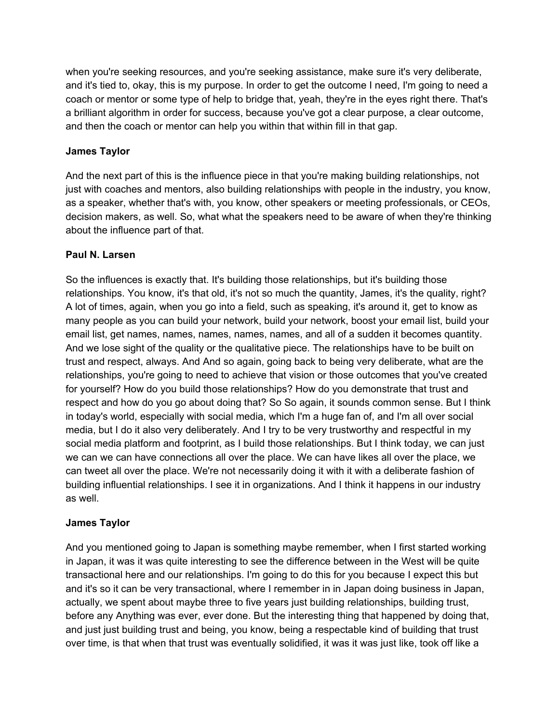when you're seeking resources, and you're seeking assistance, make sure it's very deliberate, and it's tied to, okay, this is my purpose. In order to get the outcome I need, I'm going to need a coach or mentor or some type of help to bridge that, yeah, they're in the eyes right there. That's a brilliant algorithm in order for success, because you've got a clear purpose, a clear outcome, and then the coach or mentor can help you within that within fill in that gap.

## **James Taylor**

And the next part of this is the influence piece in that you're making building relationships, not just with coaches and mentors, also building relationships with people in the industry, you know, as a speaker, whether that's with, you know, other speakers or meeting professionals, or CEOs, decision makers, as well. So, what what the speakers need to be aware of when they're thinking about the influence part of that.

### **Paul N. Larsen**

So the influences is exactly that. It's building those relationships, but it's building those relationships. You know, it's that old, it's not so much the quantity, James, it's the quality, right? A lot of times, again, when you go into a field, such as speaking, it's around it, get to know as many people as you can build your network, build your network, boost your email list, build your email list, get names, names, names, names, names, and all of a sudden it becomes quantity. And we lose sight of the quality or the qualitative piece. The relationships have to be built on trust and respect, always. And And so again, going back to being very deliberate, what are the relationships, you're going to need to achieve that vision or those outcomes that you've created for yourself? How do you build those relationships? How do you demonstrate that trust and respect and how do you go about doing that? So So again, it sounds common sense. But I think in today's world, especially with social media, which I'm a huge fan of, and I'm all over social media, but I do it also very deliberately. And I try to be very trustworthy and respectful in my social media platform and footprint, as I build those relationships. But I think today, we can just we can we can have connections all over the place. We can have likes all over the place, we can tweet all over the place. We're not necessarily doing it with it with a deliberate fashion of building influential relationships. I see it in organizations. And I think it happens in our industry as well.

## **James Taylor**

And you mentioned going to Japan is something maybe remember, when I first started working in Japan, it was it was quite interesting to see the difference between in the West will be quite transactional here and our relationships. I'm going to do this for you because I expect this but and it's so it can be very transactional, where I remember in in Japan doing business in Japan, actually, we spent about maybe three to five years just building relationships, building trust, before any Anything was ever, ever done. But the interesting thing that happened by doing that, and just just building trust and being, you know, being a respectable kind of building that trust over time, is that when that trust was eventually solidified, it was it was just like, took off like a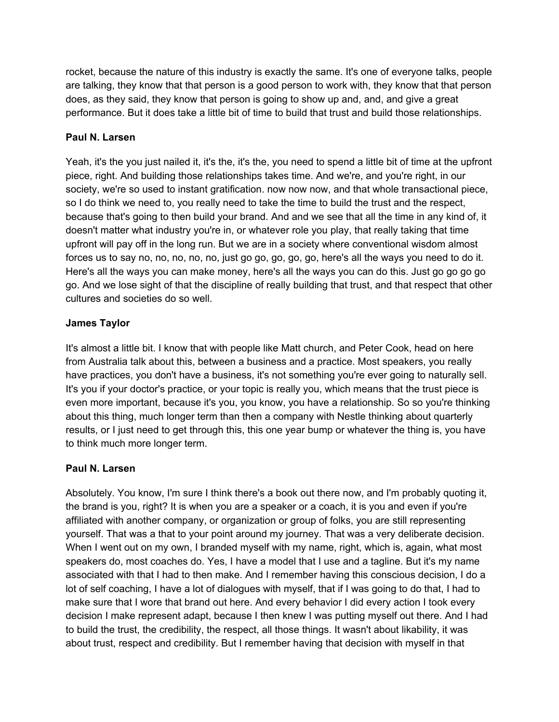rocket, because the nature of this industry is exactly the same. It's one of everyone talks, people are talking, they know that that person is a good person to work with, they know that that person does, as they said, they know that person is going to show up and, and, and give a great performance. But it does take a little bit of time to build that trust and build those relationships.

## **Paul N. Larsen**

Yeah, it's the you just nailed it, it's the, it's the, you need to spend a little bit of time at the upfront piece, right. And building those relationships takes time. And we're, and you're right, in our society, we're so used to instant gratification. now now now, and that whole transactional piece, so I do think we need to, you really need to take the time to build the trust and the respect, because that's going to then build your brand. And and we see that all the time in any kind of, it doesn't matter what industry you're in, or whatever role you play, that really taking that time upfront will pay off in the long run. But we are in a society where conventional wisdom almost forces us to say no, no, no, no, no, just go go, go, go, go, here's all the ways you need to do it. Here's all the ways you can make money, here's all the ways you can do this. Just go go go go go. And we lose sight of that the discipline of really building that trust, and that respect that other cultures and societies do so well.

# **James Taylor**

It's almost a little bit. I know that with people like Matt church, and Peter Cook, head on here from Australia talk about this, between a business and a practice. Most speakers, you really have practices, you don't have a business, it's not something you're ever going to naturally sell. It's you if your doctor's practice, or your topic is really you, which means that the trust piece is even more important, because it's you, you know, you have a relationship. So so you're thinking about this thing, much longer term than then a company with Nestle thinking about quarterly results, or I just need to get through this, this one year bump or whatever the thing is, you have to think much more longer term.

## **Paul N. Larsen**

Absolutely. You know, I'm sure I think there's a book out there now, and I'm probably quoting it, the brand is you, right? It is when you are a speaker or a coach, it is you and even if you're affiliated with another company, or organization or group of folks, you are still representing yourself. That was a that to your point around my journey. That was a very deliberate decision. When I went out on my own, I branded myself with my name, right, which is, again, what most speakers do, most coaches do. Yes, I have a model that I use and a tagline. But it's my name associated with that I had to then make. And I remember having this conscious decision, I do a lot of self coaching, I have a lot of dialogues with myself, that if I was going to do that, I had to make sure that I wore that brand out here. And every behavior I did every action I took every decision I make represent adapt, because I then knew I was putting myself out there. And I had to build the trust, the credibility, the respect, all those things. It wasn't about likability, it was about trust, respect and credibility. But I remember having that decision with myself in that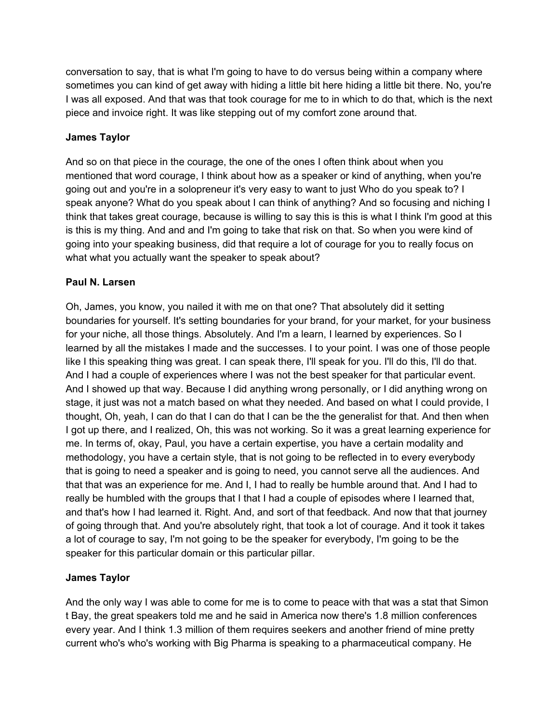conversation to say, that is what I'm going to have to do versus being within a company where sometimes you can kind of get away with hiding a little bit here hiding a little bit there. No, you're I was all exposed. And that was that took courage for me to in which to do that, which is the next piece and invoice right. It was like stepping out of my comfort zone around that.

## **James Taylor**

And so on that piece in the courage, the one of the ones I often think about when you mentioned that word courage, I think about how as a speaker or kind of anything, when you're going out and you're in a solopreneur it's very easy to want to just Who do you speak to? I speak anyone? What do you speak about I can think of anything? And so focusing and niching I think that takes great courage, because is willing to say this is this is what I think I'm good at this is this is my thing. And and and I'm going to take that risk on that. So when you were kind of going into your speaking business, did that require a lot of courage for you to really focus on what what you actually want the speaker to speak about?

### **Paul N. Larsen**

Oh, James, you know, you nailed it with me on that one? That absolutely did it setting boundaries for yourself. It's setting boundaries for your brand, for your market, for your business for your niche, all those things. Absolutely. And I'm a learn, I learned by experiences. So I learned by all the mistakes I made and the successes. I to your point. I was one of those people like I this speaking thing was great. I can speak there, I'll speak for you. I'll do this, I'll do that. And I had a couple of experiences where I was not the best speaker for that particular event. And I showed up that way. Because I did anything wrong personally, or I did anything wrong on stage, it just was not a match based on what they needed. And based on what I could provide, I thought, Oh, yeah, I can do that I can do that I can be the the generalist for that. And then when I got up there, and I realized, Oh, this was not working. So it was a great learning experience for me. In terms of, okay, Paul, you have a certain expertise, you have a certain modality and methodology, you have a certain style, that is not going to be reflected in to every everybody that is going to need a speaker and is going to need, you cannot serve all the audiences. And that that was an experience for me. And I, I had to really be humble around that. And I had to really be humbled with the groups that I that I had a couple of episodes where I learned that, and that's how I had learned it. Right. And, and sort of that feedback. And now that that journey of going through that. And you're absolutely right, that took a lot of courage. And it took it takes a lot of courage to say, I'm not going to be the speaker for everybody, I'm going to be the speaker for this particular domain or this particular pillar.

## **James Taylor**

And the only way I was able to come for me is to come to peace with that was a stat that Simon t Bay, the great speakers told me and he said in America now there's 1.8 million conferences every year. And I think 1.3 million of them requires seekers and another friend of mine pretty current who's who's working with Big Pharma is speaking to a pharmaceutical company. He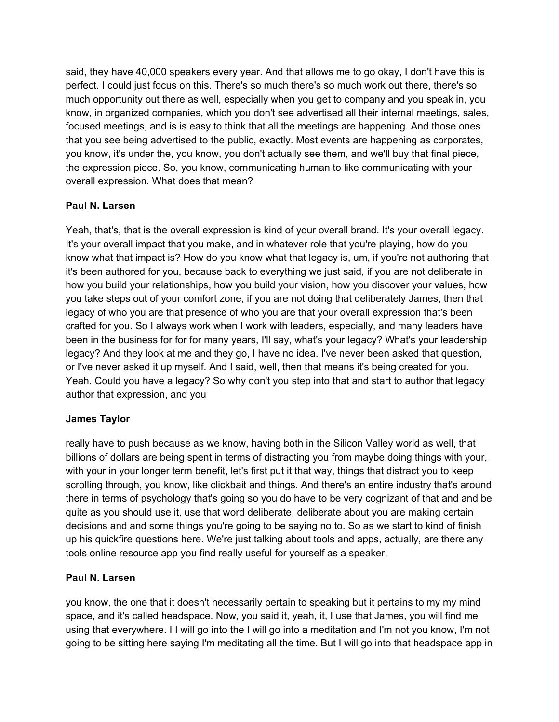said, they have 40,000 speakers every year. And that allows me to go okay, I don't have this is perfect. I could just focus on this. There's so much there's so much work out there, there's so much opportunity out there as well, especially when you get to company and you speak in, you know, in organized companies, which you don't see advertised all their internal meetings, sales, focused meetings, and is is easy to think that all the meetings are happening. And those ones that you see being advertised to the public, exactly. Most events are happening as corporates, you know, it's under the, you know, you don't actually see them, and we'll buy that final piece, the expression piece. So, you know, communicating human to like communicating with your overall expression. What does that mean?

## **Paul N. Larsen**

Yeah, that's, that is the overall expression is kind of your overall brand. It's your overall legacy. It's your overall impact that you make, and in whatever role that you're playing, how do you know what that impact is? How do you know what that legacy is, um, if you're not authoring that it's been authored for you, because back to everything we just said, if you are not deliberate in how you build your relationships, how you build your vision, how you discover your values, how you take steps out of your comfort zone, if you are not doing that deliberately James, then that legacy of who you are that presence of who you are that your overall expression that's been crafted for you. So I always work when I work with leaders, especially, and many leaders have been in the business for for for many years, I'll say, what's your legacy? What's your leadership legacy? And they look at me and they go, I have no idea. I've never been asked that question, or I've never asked it up myself. And I said, well, then that means it's being created for you. Yeah. Could you have a legacy? So why don't you step into that and start to author that legacy author that expression, and you

## **James Taylor**

really have to push because as we know, having both in the Silicon Valley world as well, that billions of dollars are being spent in terms of distracting you from maybe doing things with your, with your in your longer term benefit, let's first put it that way, things that distract you to keep scrolling through, you know, like clickbait and things. And there's an entire industry that's around there in terms of psychology that's going so you do have to be very cognizant of that and and be quite as you should use it, use that word deliberate, deliberate about you are making certain decisions and and some things you're going to be saying no to. So as we start to kind of finish up his quickfire questions here. We're just talking about tools and apps, actually, are there any tools online resource app you find really useful for yourself as a speaker,

## **Paul N. Larsen**

you know, the one that it doesn't necessarily pertain to speaking but it pertains to my my mind space, and it's called headspace. Now, you said it, yeah, it, I use that James, you will find me using that everywhere. I I will go into the I will go into a meditation and I'm not you know, I'm not going to be sitting here saying I'm meditating all the time. But I will go into that headspace app in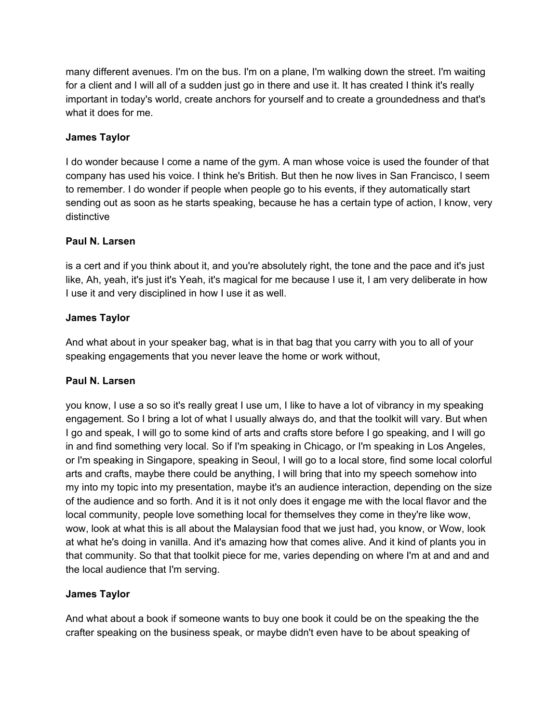many different avenues. I'm on the bus. I'm on a plane, I'm walking down the street. I'm waiting for a client and I will all of a sudden just go in there and use it. It has created I think it's really important in today's world, create anchors for yourself and to create a groundedness and that's what it does for me.

## **James Taylor**

I do wonder because I come a name of the gym. A man whose voice is used the founder of that company has used his voice. I think he's British. But then he now lives in San Francisco, I seem to remember. I do wonder if people when people go to his events, if they automatically start sending out as soon as he starts speaking, because he has a certain type of action, I know, very distinctive

### **Paul N. Larsen**

is a cert and if you think about it, and you're absolutely right, the tone and the pace and it's just like, Ah, yeah, it's just it's Yeah, it's magical for me because I use it, I am very deliberate in how I use it and very disciplined in how I use it as well.

### **James Taylor**

And what about in your speaker bag, what is in that bag that you carry with you to all of your speaking engagements that you never leave the home or work without,

### **Paul N. Larsen**

you know, I use a so so it's really great I use um, I like to have a lot of vibrancy in my speaking engagement. So I bring a lot of what I usually always do, and that the toolkit will vary. But when I go and speak, I will go to some kind of arts and crafts store before I go speaking, and I will go in and find something very local. So if I'm speaking in Chicago, or I'm speaking in Los Angeles, or I'm speaking in Singapore, speaking in Seoul, I will go to a local store, find some local colorful arts and crafts, maybe there could be anything, I will bring that into my speech somehow into my into my topic into my presentation, maybe it's an audience interaction, depending on the size of the audience and so forth. And it is it not only does it engage me with the local flavor and the local community, people love something local for themselves they come in they're like wow, wow, look at what this is all about the Malaysian food that we just had, you know, or Wow, look at what he's doing in vanilla. And it's amazing how that comes alive. And it kind of plants you in that community. So that that toolkit piece for me, varies depending on where I'm at and and and the local audience that I'm serving.

### **James Taylor**

And what about a book if someone wants to buy one book it could be on the speaking the the crafter speaking on the business speak, or maybe didn't even have to be about speaking of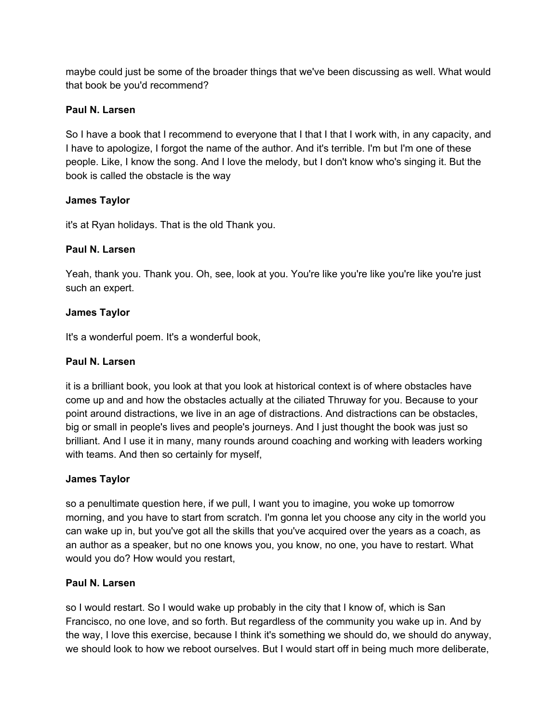maybe could just be some of the broader things that we've been discussing as well. What would that book be you'd recommend?

## **Paul N. Larsen**

So I have a book that I recommend to everyone that I that I that I work with, in any capacity, and I have to apologize, I forgot the name of the author. And it's terrible. I'm but I'm one of these people. Like, I know the song. And I love the melody, but I don't know who's singing it. But the book is called the obstacle is the way

### **James Taylor**

it's at Ryan holidays. That is the old Thank you.

### **Paul N. Larsen**

Yeah, thank you. Thank you. Oh, see, look at you. You're like you're like you're like you're just such an expert.

### **James Taylor**

It's a wonderful poem. It's a wonderful book,

### **Paul N. Larsen**

it is a brilliant book, you look at that you look at historical context is of where obstacles have come up and and how the obstacles actually at the ciliated Thruway for you. Because to your point around distractions, we live in an age of distractions. And distractions can be obstacles, big or small in people's lives and people's journeys. And I just thought the book was just so brilliant. And I use it in many, many rounds around coaching and working with leaders working with teams. And then so certainly for myself,

### **James Taylor**

so a penultimate question here, if we pull, I want you to imagine, you woke up tomorrow morning, and you have to start from scratch. I'm gonna let you choose any city in the world you can wake up in, but you've got all the skills that you've acquired over the years as a coach, as an author as a speaker, but no one knows you, you know, no one, you have to restart. What would you do? How would you restart,

### **Paul N. Larsen**

so I would restart. So I would wake up probably in the city that I know of, which is San Francisco, no one love, and so forth. But regardless of the community you wake up in. And by the way, I love this exercise, because I think it's something we should do, we should do anyway, we should look to how we reboot ourselves. But I would start off in being much more deliberate,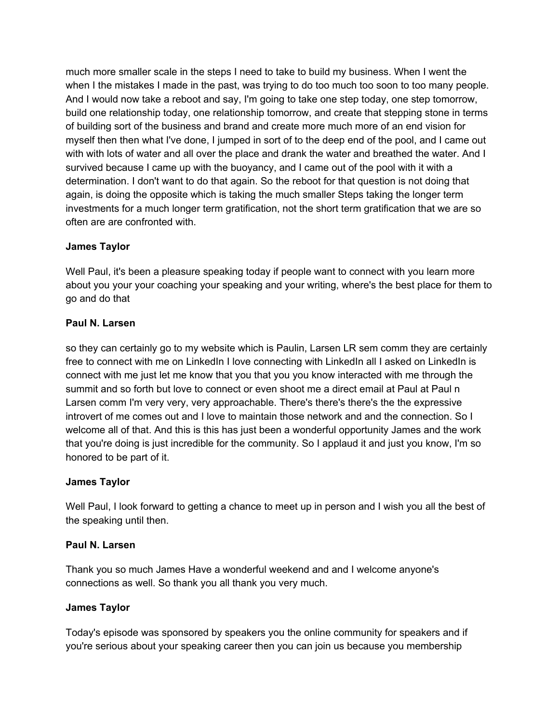much more smaller scale in the steps I need to take to build my business. When I went the when I the mistakes I made in the past, was trying to do too much too soon to too many people. And I would now take a reboot and say, I'm going to take one step today, one step tomorrow, build one relationship today, one relationship tomorrow, and create that stepping stone in terms of building sort of the business and brand and create more much more of an end vision for myself then then what I've done, I jumped in sort of to the deep end of the pool, and I came out with with lots of water and all over the place and drank the water and breathed the water. And I survived because I came up with the buoyancy, and I came out of the pool with it with a determination. I don't want to do that again. So the reboot for that question is not doing that again, is doing the opposite which is taking the much smaller Steps taking the longer term investments for a much longer term gratification, not the short term gratification that we are so often are are confronted with.

### **James Taylor**

Well Paul, it's been a pleasure speaking today if people want to connect with you learn more about you your your coaching your speaking and your writing, where's the best place for them to go and do that

### **Paul N. Larsen**

so they can certainly go to my website which is Paulin, Larsen LR sem comm they are certainly free to connect with me on LinkedIn I love connecting with LinkedIn all I asked on LinkedIn is connect with me just let me know that you that you you know interacted with me through the summit and so forth but love to connect or even shoot me a direct email at Paul at Paul n Larsen comm I'm very very, very approachable. There's there's there's the the expressive introvert of me comes out and I love to maintain those network and and the connection. So I welcome all of that. And this is this has just been a wonderful opportunity James and the work that you're doing is just incredible for the community. So I applaud it and just you know, I'm so honored to be part of it.

### **James Taylor**

Well Paul, I look forward to getting a chance to meet up in person and I wish you all the best of the speaking until then.

### **Paul N. Larsen**

Thank you so much James Have a wonderful weekend and and I welcome anyone's connections as well. So thank you all thank you very much.

### **James Taylor**

Today's episode was sponsored by speakers you the online community for speakers and if you're serious about your speaking career then you can join us because you membership